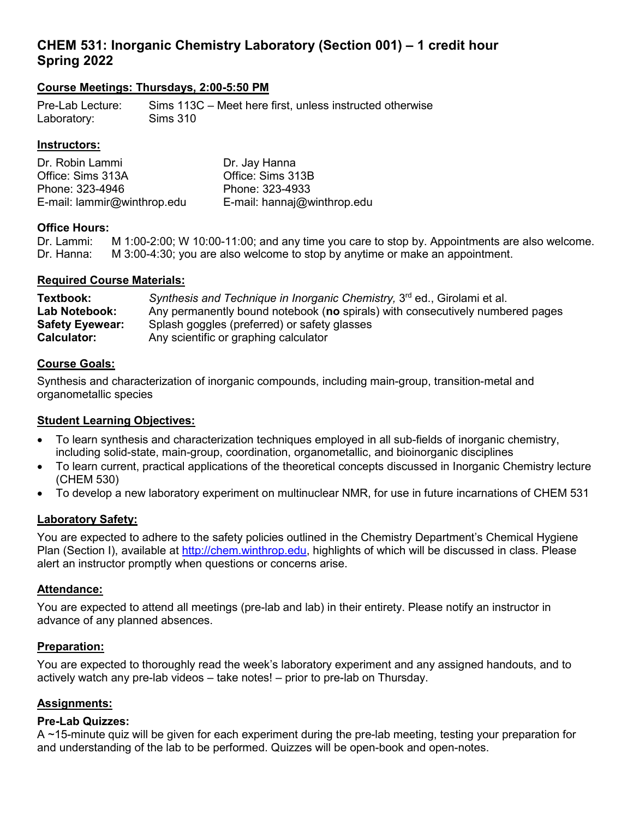## **CHEM 531: Inorganic Chemistry Laboratory (Section 001) – 1 credit hour Spring 2022**

## **Course Meetings: Thursdays, 2:00-5:50 PM**

Pre-Lab Lecture: Sims 113C – Meet here first, unless instructed otherwise Laboratory: Sims 310

#### **Instructors:**

| Dr. Robin Lammi             | Dr. Jay Hanna               |
|-----------------------------|-----------------------------|
| Office: Sims 313A           | Office: Sims 313B           |
| Phone: 323-4946             | Phone: 323-4933             |
| E-mail: lammir@winthrop.edu | E-mail: hannaj@winthrop.edu |

# **Office Hours:**<br>Dr. Lammi:

 $M$  1:00-2:00; W 10:00-11:00; and any time you care to stop by. Appointments are also welcome. Dr. Hanna: M 3:00-4:30; you are also welcome to stop by anytime or make an appointment.

#### **Required Course Materials:**

| Textbook:              | Synthesis and Technique in Inorganic Chemistry, 3 <sup>rd</sup> ed., Girolami et al. |
|------------------------|--------------------------------------------------------------------------------------|
| Lab Notebook:          | Any permanently bound notebook (no spirals) with consecutively numbered pages        |
| <b>Safety Eyewear:</b> | Splash goggles (preferred) or safety glasses                                         |
| <b>Calculator:</b>     | Any scientific or graphing calculator                                                |

#### **Course Goals:**

Synthesis and characterization of inorganic compounds, including main-group, transition-metal and organometallic species

#### **Student Learning Objectives:**

- To learn synthesis and characterization techniques employed in all sub-fields of inorganic chemistry, including solid-state, main-group, coordination, organometallic, and bioinorganic disciplines
- To learn current, practical applications of the theoretical concepts discussed in Inorganic Chemistry lecture (CHEM 530)
- To develop a new laboratory experiment on multinuclear NMR, for use in future incarnations of CHEM 531

## **Laboratory Safety:**

You are expected to adhere to the safety policies outlined in the Chemistry Department's Chemical Hygiene Plan (Section I), available at [http://chem.winthrop.edu,](http://chem.winthrop.edu/) highlights of which will be discussed in class. Please alert an instructor promptly when questions or concerns arise.

#### **Attendance:**

You are expected to attend all meetings (pre-lab and lab) in their entirety. Please notify an instructor in advance of any planned absences.

#### **Preparation:**

You are expected to thoroughly read the week's laboratory experiment and any assigned handouts, and to actively watch any pre-lab videos – take notes! – prior to pre-lab on Thursday.

## **Assignments:**

#### **Pre-Lab Quizzes:**

A ~15-minute quiz will be given for each experiment during the pre-lab meeting, testing your preparation for and understanding of the lab to be performed. Quizzes will be open-book and open-notes.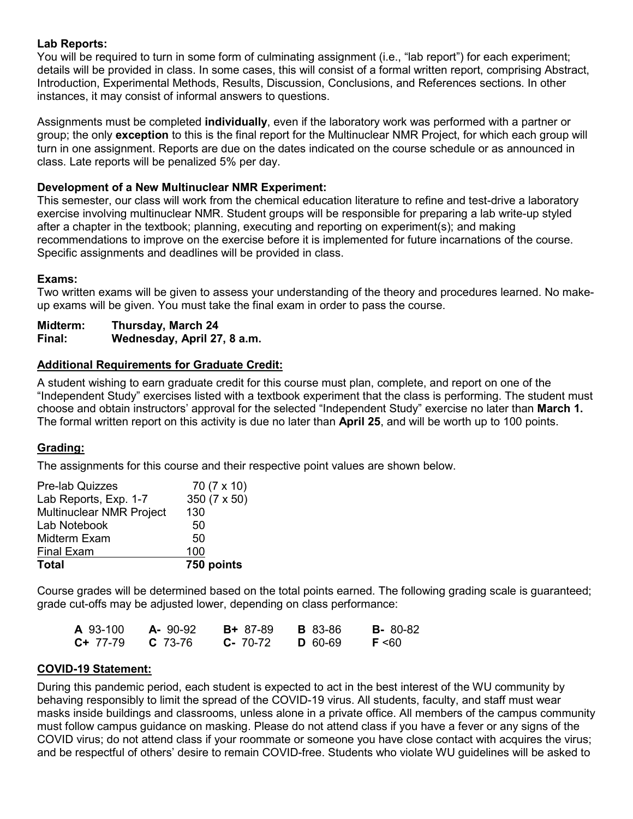#### **Lab Reports:**

You will be required to turn in some form of culminating assignment (i.e., "lab report") for each experiment; details will be provided in class. In some cases, this will consist of a formal written report, comprising Abstract, Introduction, Experimental Methods, Results, Discussion, Conclusions, and References sections. In other instances, it may consist of informal answers to questions.

Assignments must be completed **individually**, even if the laboratory work was performed with a partner or group; the only **exception** to this is the final report for the Multinuclear NMR Project, for which each group will turn in one assignment. Reports are due on the dates indicated on the course schedule or as announced in class. Late reports will be penalized 5% per day.

## **Development of a New Multinuclear NMR Experiment:**

This semester, our class will work from the chemical education literature to refine and test-drive a laboratory exercise involving multinuclear NMR. Student groups will be responsible for preparing a lab write-up styled after a chapter in the textbook; planning, executing and reporting on experiment(s); and making recommendations to improve on the exercise before it is implemented for future incarnations of the course. Specific assignments and deadlines will be provided in class.

#### **Exams:**

Two written exams will be given to assess your understanding of the theory and procedures learned. No makeup exams will be given. You must take the final exam in order to pass the course.

**Midterm: Thursday, March 24 Final: Wednesday, April 27, 8 a.m.**

#### **Additional Requirements for Graduate Credit:**

A student wishing to earn graduate credit for this course must plan, complete, and report on one of the "Independent Study" exercises listed with a textbook experiment that the class is performing. The student must choose and obtain instructors' approval for the selected "Independent Study" exercise no later than **March 1.**  The formal written report on this activity is due no later than **April 25**, and will be worth up to 100 points.

## **Grading:**

The assignments for this course and their respective point values are shown below.

| <b>Pre-lab Quizzes</b>   | 70 (7 x 10)  |
|--------------------------|--------------|
| Lab Reports, Exp. 1-7    | 350 (7 x 50) |
| Multinuclear NMR Project | 130          |
| Lab Notebook             | 50           |
| Midterm Exam             | 50           |
| <b>Final Exam</b>        | 100          |
| <b>Total</b>             | 750 points   |

Course grades will be determined based on the total points earned. The following grading scale is guaranteed; grade cut-offs may be adjusted lower, depending on class performance:

| A 93-100   | $A - 90-92$ | <b>B+</b> 87-89 | <b>B</b> 83-86 | <b>B</b> -80-82 |
|------------|-------------|-----------------|----------------|-----------------|
| $C+ 77-79$ | $C$ 73-76   | $C - 70-72$     | <b>D</b> 60-69 | $F \leq 60$     |

#### **COVID-19 Statement:**

During this pandemic period, each student is expected to act in the best interest of the WU community by behaving responsibly to limit the spread of the COVID-19 virus. All students, faculty, and staff must wear masks inside buildings and classrooms, unless alone in a private office. All members of the campus community must follow campus guidance on masking. Please do not attend class if you have a fever or any signs of the COVID virus; do not attend class if your roommate or someone you have close contact with acquires the virus; and be respectful of others' desire to remain COVID-free. Students who violate WU guidelines will be asked to